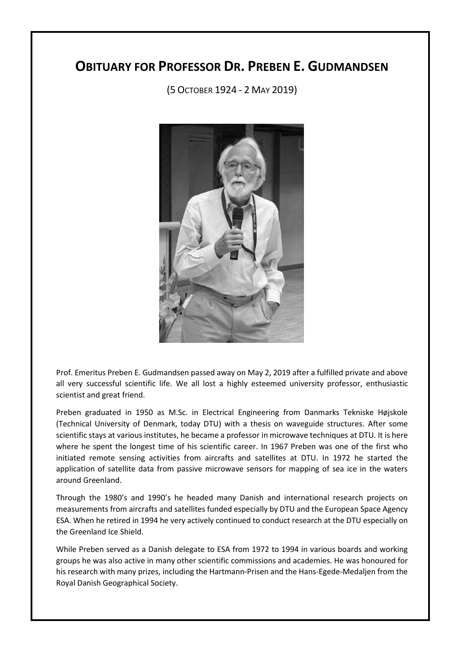## **OBITUARY FOR PROFESSOR DR. PREBEN E. GUDMANDSEN**

(5 OCTOBER 1924 - 2 MAY 2019)



Prof. Emeritus Preben E. Gudmandsen passed away on May 2, 2019 after a fulfilled private and above all very successful scientific life. We all lost a highly esteemed university professor, enthusiastic scientist and great friend.

Preben graduated in 1950 as M.Sc. in Electrical Engineering from Danmarks Tekniske Højskole (Technical University of Denmark, today DTU) with a thesis on waveguide structures. After some scientific stays at various institutes, he became a professor in microwave techniques at DTU. It is here where he spent the longest time of his scientific career. In 1967 Preben was one of the first who initiated remote sensing activities from aircrafts and satellites at DTU. In 1972 he started the application of satellite data from passive microwave sensors for mapping of sea ice in the waters around Greenland.

Through the 1980's and 1990's he headed many Danish and international research projects on measurements from aircrafts and satellites funded especially by DTU and the European Space Agency ESA. When he retired in 1994 he very actively continued to conduct research at the DTU especially on the Greenland Ice Shield.

While Preben served as a Danish delegate to ESA from 1972 to 1994 in various boards and working groups he was also active in many other scientific commissions and academies. He was honoured for his research with many prizes, including the Hartmann-Prisen and the Hans-Egede-Medaljen from the Royal Danish Geographical Society.